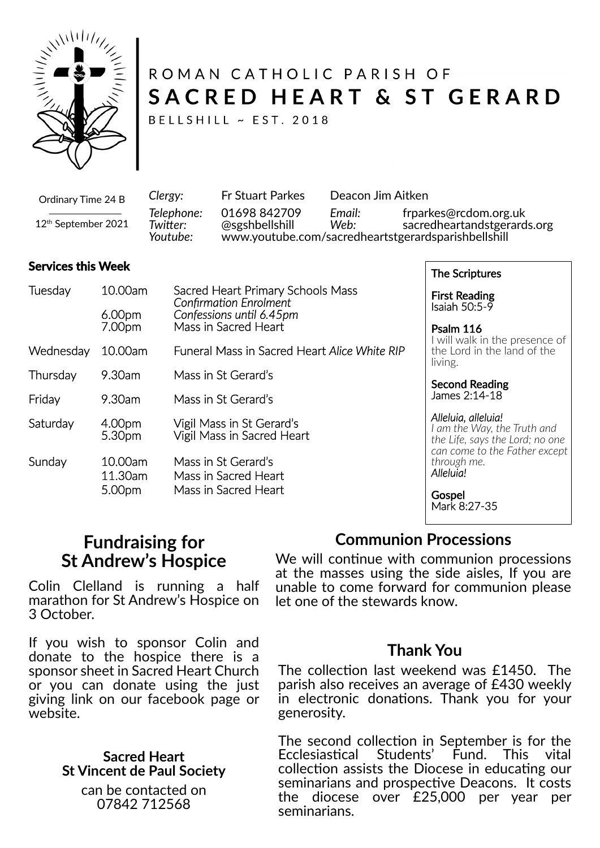

# ROMAN CATHOLIC PARISH OF SACRED HEART & ST GERARD

BELLSHILL ~ EST. 2018

| Ordinary Time 24 B              | Clergy:                            | <b>Fr Stuart Parkes</b>        | Deacon Jim Aitken |                                                                                                             |  |
|---------------------------------|------------------------------------|--------------------------------|-------------------|-------------------------------------------------------------------------------------------------------------|--|
| 12 <sup>th</sup> September 2021 | Telephone:<br>Twitter:<br>Youtube: | 01698 842709<br>@sgshbellshill | Email:<br>Web:    | frparkes@rcdom.org.uk<br>sacredheartandstgerards.org<br>www.youtube.com/sacredheartstgerardsparishbellshill |  |

#### **Services this Week**

| Tuesday   | 10.00am<br>6.00 <sub>pm</sub> | Sacred Heart Primary Schools Mass<br><b>Confirmation Enrolment</b><br>Confessions until 6.45pm | <b>First Reading</b><br>Isaiah $50:5-9$                                                                                |  |
|-----------|-------------------------------|------------------------------------------------------------------------------------------------|------------------------------------------------------------------------------------------------------------------------|--|
|           | 7.00pm                        | Mass in Sacred Heart                                                                           | Psalm 116<br>will walk in the presence of                                                                              |  |
| Wednesday | 10.00am                       | Funeral Mass in Sacred Heart Alice White RIP                                                   | the Lord in the land of the<br>living.                                                                                 |  |
| Thursday  | 9.30am                        | Mass in St Gerard's                                                                            | <b>Second Reading</b><br>James 2:14-18                                                                                 |  |
| Friday    | 9.30am                        | Mass in St Gerard's                                                                            |                                                                                                                        |  |
| Saturday  | 4.00pm<br>5.30pm              | Vigil Mass in St Gerard's<br>Vigil Mass in Sacred Heart                                        | Alleluia, alleluia!<br>I am the Way, the Truth and<br>the Life, says the Lord; no one<br>can come to the Father except |  |
| Sunday    | 10.00am<br>11.30am<br>5.00pm  | Mass in St Gerard's<br>Mass in Sacred Heart<br>Mass in Sacred Heart                            | through me.<br>Alleluia!<br>Gospel<br>Mark 8:27-35                                                                     |  |

# **Fundraising for St Andrew's Hospice**

Colin Clelland is running a half marathon for St Andrew's Hospice on 3 October.

If you wish to sponsor Colin and donate to the hospice there is a sponsor sheet in Sacred Heart Church or you can donate using the just giving link on our facebook page or website.

# **Sacred Heart St Vincent de Paul Society**

can be contacted on 07842 712568

# **Communion Processions**

The Scriptures

We will continue with communion processions at the masses using the side aisles, If you are unable to come forward for communion please let one of the stewards know.

### **Thank You**

The collection last weekend was £1450. The parish also receives an average of £430 weekly in electronic dona�ons. Thank you for your generosity.

The second collection in September is for the Ecclesias�cal Students' Fund. This vital collection assists the Diocese in educating our seminarians and prospective Deacons. It costs the diocese over £25,000 per year per seminarians.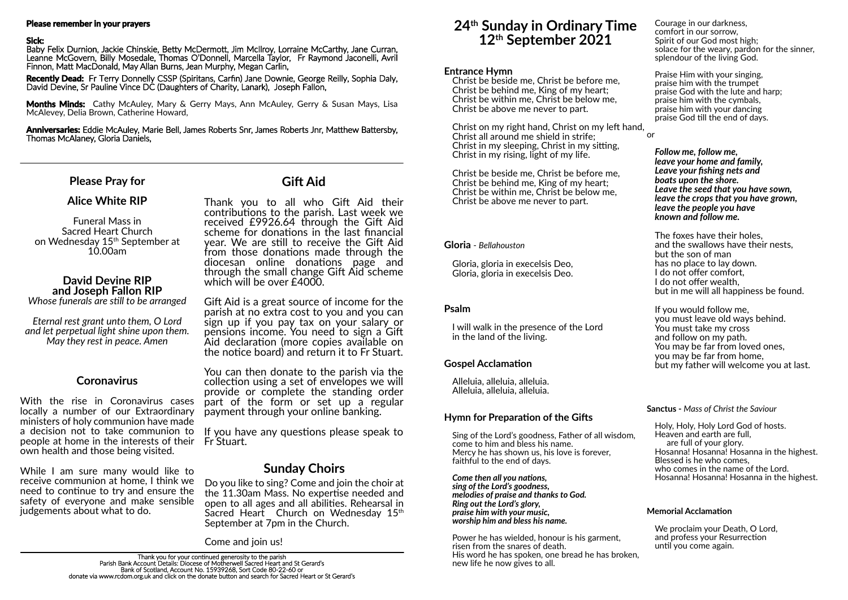# **Please Pray for**

### **Alice White RIP**

Funeral Mass in Sacred Heart Church on Wednesday 15<sup>th</sup> September at 10.00am

#### **David Devine RIP and Joseph Fallon RIP** *Whose funerals are s�ll to be arranged*

*Eternal rest grant unto them, O Lord and let perpetual light shine upon them. May they rest in peace. Amen*

# **Sunday Choirs**

Do you like to sing? Come and join the choir at the 11.30am Mass. No expertise needed and open to all ages and all abili�es. Rehearsal in Sacred Heart Church on Wednesday 15th September at 7pm in the Church.

**Anniversaries:** Eddie McAuley, Marie Bell, James Roberts Snr, James Roberts Jnr, Matthew Battersby, Thomas McAlaney, Gloria Daniels,

Come and join us!

#### **Please remember in your prayers**

#### **Sick:**

Baby Felix Durnion, Jackie Chinskie, Betty McDermott, Jim McIlroy, Lorraine McCarthy, Jane Curran, Leanne McGovern, Billy Mosedale, Thomas O'Donnell, Marcella Taylor, Fr Raymond Jaconelli, Avril Finnon, Matt MacDonald, May Allan Burns, Jean Murphy, Megan Carlin,

> You can then donate to the parish via the collection using a set of envelopes we will provide or complete the standing order part of the form or set up a regular payment through your online banking.

> If you have any questions please speak to

**Recently Dead:** Fr Terry Donnelly CSSP (Spiritans, Carfin) Jane Downie, George Reilly, Sophia Daly, David Devine, Sr Pauline Vince DC (Daughters of Charity, Lanark), Joseph Fallon,

**Months Minds:** Cathy McAuley, Mary & Gerry Mays, Ann McAuley, Gerry & Susan Mays, Lisa McAlevey, Delia Brown, Catherine Howard,

> *Come then all you nations, sing of the Lord's goodness, melodies of praise and thanks to God. Ring out the Lord's glory, praise him with your music, worship him and bless his name.*

Christ on my right hand, Christ on my left hand, Christ all around me shield in strife; Christ in my sleeping, Christ in my sitting, Christ in my rising, light of my life. Courage in our darkness, comfort in our sorrow, Spirit of our God most high; solace for the weary, pardon for the sinner, splendour of the living God. Praise Him with your singing, praise him with the trumpet praise God with the lute and harp; praise him with the cymbals, praise him with your dancing praise God till the end of days. or *Follow me, follow me, leave your home and family, Leave your fishing nets and boats upon the shore.*

# **24th Sunday in Ordinary Time 12th September 2021**

### **Entrance Hymn**

Christ be beside me, Christ be before me, Christ be behind me, King of my heart; Christ be within me, Christ be below me, Christ be above me never to part.

people at home in the interests of their Fr Stuart. With the rise in Coronavirus cases locally a number of our Extraordinary ministers of holy communion have made a decision not to take communion to own health and those being visited.

Christ be beside me, Christ be before me, Christ be behind me, King of my heart; Christ be within me, Christ be below me, Christ be above me never to part.

**Gloria** - *Bellahouston*

Gloria, gloria in execelsis Deo, Gloria, gloria in execelsis Deo.

### **Psalm**

I will walk in the presence of the Lord in the land of the living.

### **Gospel Acclamation**

Alleluia, alleluia, alleluia. Alleluia, alleluia, alleluia.

### **Hymn for Preparation of the Gifts**

Sing of the Lord's goodness, Father of all wisdom, come to him and bless his name. Mercy he has shown us, his love is forever, faithful to the end of days.

Power he has wielded, honour is his garment, risen from the snares of death. His word he has spoken, one bread he has broken, new life he now gives to all.

*Leave the seed that you have sown, leave the crops that you have grown, leave the people you have known and follow me.*

The foxes have their holes, and the swallows have their nests, but the son of man has no place to lay down. I do not offer comfort, I do not offer wealth, but in me will all happiness be found.

If you would follow me, you must leave old ways behind. You must take my cross and follow on my path. You may be far from loved ones, you may be far from home, but my father will welcome you at last.

#### **Sanctus -** *Mass of Christ the Saviour*

Holy, Holy, Holy Lord God of hosts. Heaven and earth are full, are full of your glory. Hosanna! Hosanna! Hosanna in the highest. Blessed is he who comes, who comes in the name of the Lord. Hosanna! Hosanna! Hosanna in the highest.

#### **Memorial Acclamation**

We proclaim your Death, O Lord, and profess your Resurrection until you come again.

# **Coronavirus**

While I am sure many would like to receive communion at home, I think we need to continue to try and ensure the safety of everyone and make sensible judgements about what to do.

# **Gift Aid**

Thank you to all who Gift Aid their contributions to the parish. Last week we received £9926.64 through the Gift Aid scheme for donations in the last financial year. We are still to receive the Gift Aid from those donations made through the diocesan online donations page and through the small change Gi� Aid scheme which will be over £4000.

Gift Aid is a great source of income for the parish at no extra cost to you and you can sign up if you pay tax on your salary or pensions income. You need to sign a Gift Aid declaration (more copies available on the notice board) and return it to Fr Stuart.